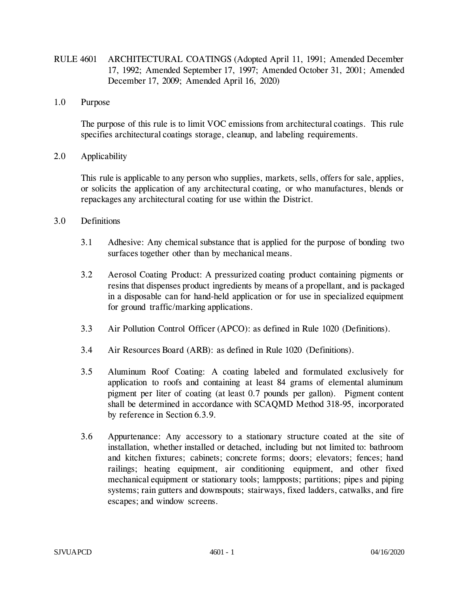- RULE 4601 ARCHITECTURAL COATINGS (Adopted April 11, 1991; Amended December 17, 1992; Amended September 17, 1997; Amended October 31, 2001; Amended December 17, 2009; Amended April 16, 2020)
- 1.0 Purpose

The purpose of this rule is to limit VOC emissions from architectural coatings. This rule specifies architectural coatings storage, cleanup, and labeling requirements.

2.0 Applicability

This rule is applicable to any person who supplies, markets, sells, offers for sale, applies, or solicits the application of any architectural coating, or who manufactures, blends or repackages any architectural coating for use within the District.

- 3.0 Definitions
	- 3.1 Adhesive: Any chemical substance that is applied for the purpose of bonding two surfaces together other than by mechanical means.
	- 3.2 Aerosol Coating Product: A pressurized coating product containing pigments or resins that dispenses product ingredients by means of a propellant, and is packaged in a disposable can for hand-held application or for use in specialized equipment for ground traffic/marking applications.
	- 3.3 Air Pollution Control Officer (APCO): as defined in Rule 1020 (Definitions).
	- 3.4 Air Resources Board (ARB): as defined in Rule 1020 (Definitions).
	- 3.5 Aluminum Roof Coating: A coating labeled and formulated exclusively for application to roofs and containing at least 84 grams of elemental aluminum pigment per liter of coating (at least 0.7 pounds per gallon). Pigment content shall be determined in accordance with SCAQMD Method 318-95, incorporated by reference in Section 6.3.9.
	- 3.6 Appurtenance: Any accessory to a stationary structure coated at the site of installation, whether installed or detached, including but not limited to: bathroom and kitchen fixtures; cabinets; concrete forms; doors; elevators; fences; hand railings; heating equipment, air conditioning equipment, and other fixed mechanical equipment or stationary tools; lampposts; partitions; pipes and piping systems; rain gutters and downspouts; stairways, fixed ladders, catwalks, and fire escapes; and window screens.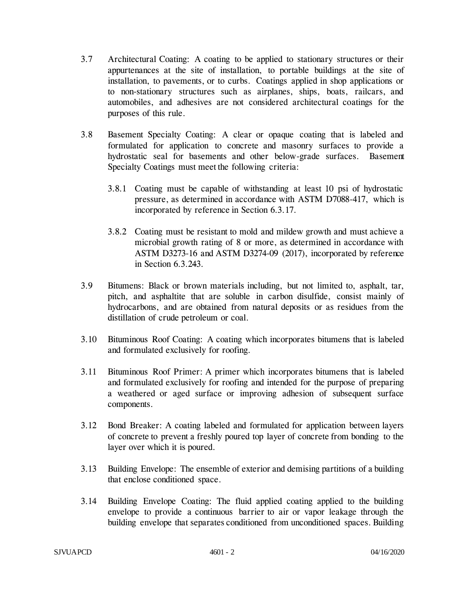- 3.7 Architectural Coating: A coating to be applied to stationary structures or their appurtenances at the site of installation, to portable buildings at the site of installation, to pavements, or to curbs. Coatings applied in shop applications or to non-stationary structures such as airplanes, ships, boats, railcars, and automobiles, and adhesives are not considered architectural coatings for the purposes of this rule.
- 3.8 Basement Specialty Coating: A clear or opaque coating that is labeled and formulated for application to concrete and masonry surfaces to provide a hydrostatic seal for basements and other below-grade surfaces. Basement Specialty Coatings must meet the following criteria:
	- 3.8.1 Coating must be capable of withstanding at least 10 psi of hydrostatic pressure, as determined in accordance with ASTM D7088-417, which is incorporated by reference in Section 6.3.17.
	- 3.8.2 Coating must be resistant to mold and mildew growth and must achieve a microbial growth rating of 8 or more, as determined in accordance with ASTM D3273-16 and ASTM D3274-09 (2017), incorporated by reference in Section 6.3.243.
- 3.9 Bitumens: Black or brown materials including, but not limited to, asphalt, tar, pitch, and asphaltite that are soluble in carbon disulfide, consist mainly of hydrocarbons, and are obtained from natural deposits or as residues from the distillation of crude petroleum or coal.
- 3.10 Bituminous Roof Coating: A coating which incorporates bitumens that is labeled and formulated exclusively for roofing.
- 3.11 Bituminous Roof Primer: A primer which incorporates bitumens that is labeled and formulated exclusively for roofing and intended for the purpose of preparing a weathered or aged surface or improving adhesion of subsequent surface components.
- 3.12 Bond Breaker: A coating labeled and formulated for application between layers of concrete to prevent a freshly poured top layer of concrete from bonding to the layer over which it is poured.
- 3.13 Building Envelope: The ensemble of exterior and demising partitions of a building that enclose conditioned space.
- 3.14 Building Envelope Coating: The fluid applied coating applied to the building envelope to provide a continuous barrier to air or vapor leakage through the building envelope that separates conditioned from unconditioned spaces. Building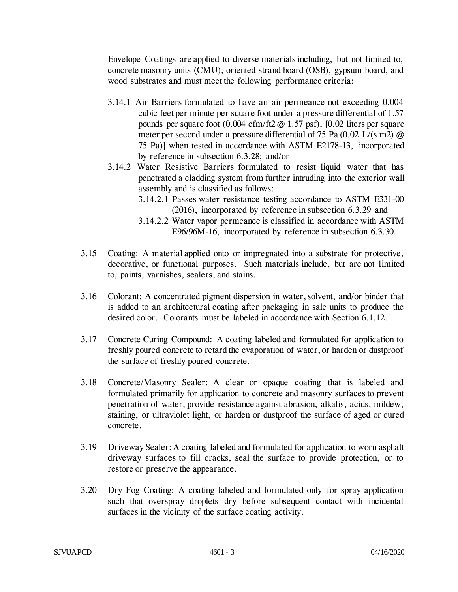Envelope Coatings are applied to diverse materials including, but not limited to, concrete masonry units (CMU), oriented strand board (OSB), gypsum board, and wood substrates and must meet the following performance criteria:

- 3.14.1 Air Barriers formulated to have an air permeance not exceeding 0.004 cubic feet per minute per square foot under a pressure differential of 1.57 pounds per square foot  $(0.004 \text{ cfm/ft2} \text{ @ } 1.57 \text{ psf})$ ,  $[0.02 \text{ liters per square}]$ meter per second under a pressure differential of 75 Pa (0.02 L/(s m2) @ 75 Pa)] when tested in accordance with ASTM E2178-13, incorporated by reference in subsection 6.3.28; and/or
- 3.14.2 Water Resistive Barriers formulated to resist liquid water that has penetrated a cladding system from further intruding into the exterior wall assembly and is classified as follows:
	- 3.14.2.1 Passes water resistance testing accordance to ASTM E331-00 (2016), incorporated by reference in subsection 6.3.29 and
	- 3.14.2.2 Water vapor permeance is classified in accordance with ASTM E96/96M-16, incorporated by reference in subsection 6.3.30.
- 3.15 Coating: A material applied onto or impregnated into a substrate for protective, decorative, or functional purposes. Such materials include, but are not limited to, paints, varnishes, sealers, and stains.
- 3.16 Colorant: A concentrated pigment dispersion in water, solvent, and/or binder that is added to an architectural coating after packaging in sale units to produce the desired color. Colorants must be labeled in accordance with Section 6.1.12.
- 3.17 Concrete Curing Compound: A coating labeled and formulated for application to freshly poured concrete to retard the evaporation of water, or harden or dustproof the surface of freshly poured concrete.
- 3.18 Concrete/Masonry Sealer: A clear or opaque coating that is labeled and formulated primarily for application to concrete and masonry surfaces to prevent penetration of water, provide resistance against abrasion, alkalis, acids, mildew, staining, or ultraviolet light, or harden or dustproof the surface of aged or cured concrete.
- 3.19 Driveway Sealer: A coating labeled and formulated for application to worn asphalt driveway surfaces to fill cracks, seal the surface to provide protection, or to restore or preserve the appearance.
- 3.20 Dry Fog Coating: A coating labeled and formulated only for spray application such that overspray droplets dry before subsequent contact with incidental surfaces in the vicinity of the surface coating activity.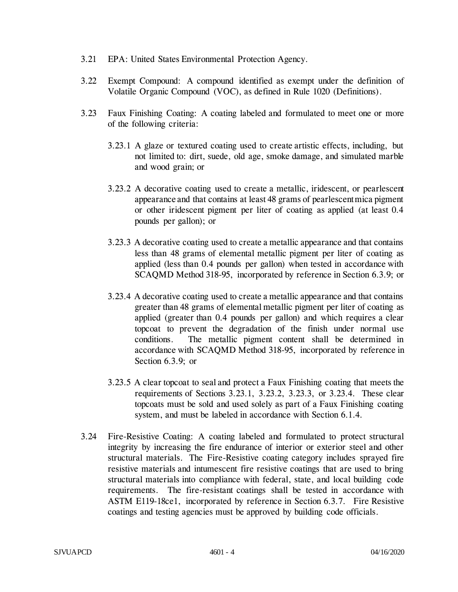- 3.21 EPA: United States Environmental Protection Agency.
- 3.22 Exempt Compound: A compound identified as exempt under the definition of Volatile Organic Compound (VOC), as defined in Rule 1020 (Definitions).
- 3.23 Faux Finishing Coating: A coating labeled and formulated to meet one or more of the following criteria:
	- 3.23.1 A glaze or textured coating used to create artistic effects, including, but not limited to: dirt, suede, old age, smoke damage, and simulated marble and wood grain; or
	- 3.23.2 A decorative coating used to create a metallic, iridescent, or pearlescent appearance and that contains at least 48 grams of pearlescent mica pigment or other iridescent pigment per liter of coating as applied (at least 0.4 pounds per gallon); or
	- 3.23.3 A decorative coating used to create a metallic appearance and that contains less than 48 grams of elemental metallic pigment per liter of coating as applied (less than 0.4 pounds per gallon) when tested in accordance with SCAQMD Method 318-95, incorporated by reference in Section 6.3.9; or
	- 3.23.4 A decorative coating used to create a metallic appearance and that contains greater than 48 grams of elemental metallic pigment per liter of coating as applied (greater than 0.4 pounds per gallon) and which requires a clear topcoat to prevent the degradation of the finish under normal use conditions. The metallic pigment content shall be determined in accordance with SCAQMD Method 318-95, incorporated by reference in Section 6.3.9; or
	- 3.23.5 A clear topcoat to seal and protect a Faux Finishing coating that meets the requirements of Sections 3.23.1, 3.23.2, 3.23.3, or 3.23.4. These clear topcoats must be sold and used solely as part of a Faux Finishing coating system, and must be labeled in accordance with Section 6.1.4.
- 3.24 Fire-Resistive Coating: A coating labeled and formulated to protect structural integrity by increasing the fire endurance of interior or exterior steel and other structural materials. The Fire-Resistive coating category includes sprayed fire resistive materials and intumescent fire resistive coatings that are used to bring structural materials into compliance with federal, state, and local building code requirements. The fire-resistant coatings shall be tested in accordance with ASTM E119-18ce1, incorporated by reference in Section 6.3.7. Fire Resistive coatings and testing agencies must be approved by building code officials.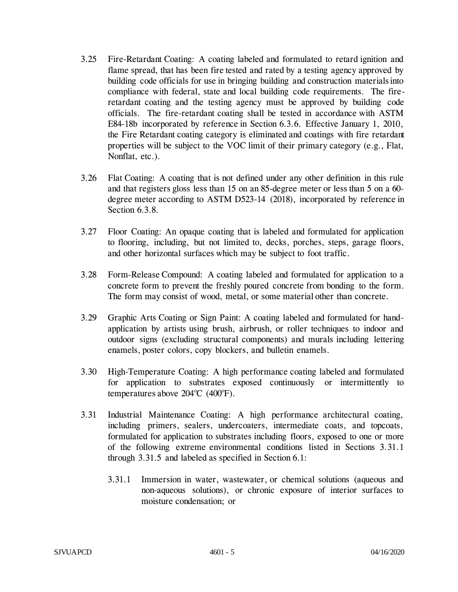- 3.25 Fire-Retardant Coating: A coating labeled and formulated to retard ignition and flame spread, that has been fire tested and rated by a testing agency approved by building code officials for use in bringing building and construction materials into compliance with federal, state and local building code requirements. The fireretardant coating and the testing agency must be approved by building code officials. The fire-retardant coating shall be tested in accordance with ASTM E84-18b incorporated by reference in Section 6.3.6. Effective January 1, 2010, the Fire Retardant coating category is eliminated and coatings with fire retardant properties will be subject to the VOC limit of their primary category (e.g., Flat, Nonflat, etc.).
- 3.26 Flat Coating: A coating that is not defined under any other definition in this rule and that registers gloss less than 15 on an 85-degree meter or less than 5 on a 60 degree meter according to ASTM D523-14 (2018), incorporated by reference in Section 6.3.8.
- 3.27 Floor Coating: An opaque coating that is labeled and formulated for application to flooring, including, but not limited to, decks, porches, steps, garage floors, and other horizontal surfaces which may be subject to foot traffic.
- 3.28 Form-Release Compound: A coating labeled and formulated for application to a concrete form to prevent the freshly poured concrete from bonding to the form. The form may consist of wood, metal, or some material other than concrete.
- 3.29 Graphic Arts Coating or Sign Paint: A coating labeled and formulated for handapplication by artists using brush, airbrush, or roller techniques to indoor and outdoor signs (excluding structural components) and murals including lettering enamels, poster colors, copy blockers, and bulletin enamels.
- 3.30 High-Temperature Coating: A high performance coating labeled and formulated for application to substrates exposed continuously or intermittently to temperatures above  $204^{\circ}$ C (400 $^{\circ}$ F).
- 3.31 Industrial Maintenance Coating: A high performance architectural coating, including primers, sealers, undercoaters, intermediate coats, and topcoats, formulated for application to substrates including floors, exposed to one or more of the following extreme environmental conditions listed in Sections 3.31.1 through 3.31.5 and labeled as specified in Section 6.1:
	- 3.31.1 Immersion in water, wastewater, or chemical solutions (aqueous and non-aqueous solutions), or chronic exposure of interior surfaces to moisture condensation; or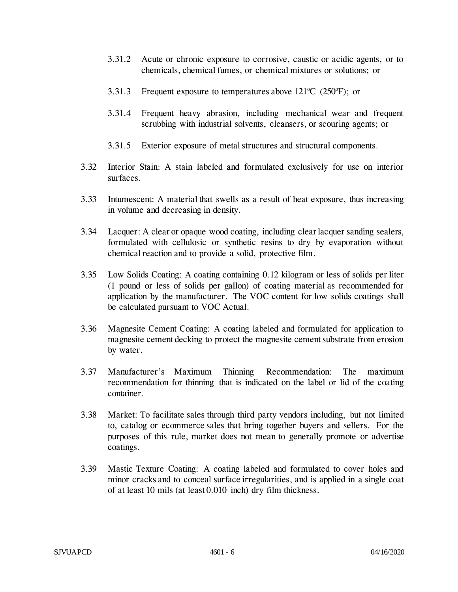- 3.31.2 Acute or chronic exposure to corrosive, caustic or acidic agents, or to chemicals, chemical fumes, or chemical mixtures or solutions; or
- 3.31.3 Frequent exposure to temperatures above  $121^{\circ}C$  (250 $^{\circ}F$ ); or
- 3.31.4 Frequent heavy abrasion, including mechanical wear and frequent scrubbing with industrial solvents, cleansers, or scouring agents; or
- 3.31.5 Exterior exposure of metal structures and structural components.
- 3.32 Interior Stain: A stain labeled and formulated exclusively for use on interior surfaces.
- 3.33 Intumescent: A material that swells as a result of heat exposure, thus increasing in volume and decreasing in density.
- 3.34 Lacquer: A clear or opaque wood coating, including clear lacquer sanding sealers, formulated with cellulosic or synthetic resins to dry by evaporation without chemical reaction and to provide a solid, protective film.
- 3.35 Low Solids Coating: A coating containing 0.12 kilogram or less of solids per liter (1 pound or less of solids per gallon) of coating material as recommended for application by the manufacturer. The VOC content for low solids coatings shall be calculated pursuant to VOC Actual.
- 3.36 Magnesite Cement Coating: A coating labeled and formulated for application to magnesite cement decking to protect the magnesite cement substrate from erosion by water.
- 3.37 Manufacturer's Maximum Thinning Recommendation: The maximum recommendation for thinning that is indicated on the label or lid of the coating container.
- 3.38 Market: To facilitate sales through third party vendors including, but not limited to, catalog or ecommerce sales that bring together buyers and sellers. For the purposes of this rule, market does not mean to generally promote or advertise coatings.
- 3.39 Mastic Texture Coating: A coating labeled and formulated to cover holes and minor cracks and to conceal surface irregularities, and is applied in a single coat of at least 10 mils (at least 0.010 inch) dry film thickness.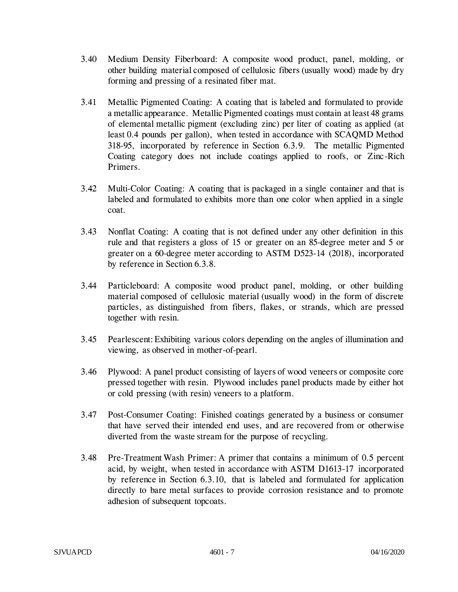- 3.40 Medium Density Fiberboard: A composite wood product, panel, molding, or other building material composed of cellulosic fibers (usually wood) made by dry forming and pressing of a resinated fiber mat.
- 3.41 Metallic Pigmented Coating: A coating that is labeled and formulated to provide a metallic appearance. Metallic Pigmented coatings must contain at least 48 grams of elemental metallic pigment (excluding zinc) per liter of coating as applied (at least 0.4 pounds per gallon), when tested in accordance with SCAQMD Method 318-95, incorporated by reference in Section 6.3.9. The metallic Pigmented Coating category does not include coatings applied to roofs, or Zinc-Rich Primers.
- 3.42 Multi-Color Coating: A coating that is packaged in a single container and that is labeled and formulated to exhibits more than one color when applied in a single coat.
- 3.43 Nonflat Coating: A coating that is not defined under any other definition in this rule and that registers a gloss of 15 or greater on an 85-degree meter and 5 or greater on a 60-degree meter according to ASTM D523-14 (2018), incorporated by reference in Section 6.3.8.
- 3.44 Particleboard: A composite wood product panel, molding, or other building material composed of cellulosic material (usually wood) in the form of discrete particles, as distinguished from fibers, flakes, or strands, which are pressed together with resin.
- 3.45 Pearlescent: Exhibiting various colors depending on the angles of illumination and viewing, as observed in mother-of-pearl.
- 3.46 Plywood: A panel product consisting of layers of wood veneers or composite core pressed together with resin. Plywood includes panel products made by either hot or cold pressing (with resin) veneers to a platform.
- 3.47 Post-Consumer Coating: Finished coatings generated by a business or consumer that have served their intended end uses, and are recovered from or otherwise diverted from the waste stream for the purpose of recycling.
- 3.48 Pre-Treatment Wash Primer: A primer that contains a minimum of 0.5 percent acid, by weight, when tested in accordance with ASTM D1613-17 incorporated by reference in Section 6.3.10, that is labeled and formulated for application directly to bare metal surfaces to provide corrosion resistance and to promote adhesion of subsequent topcoats.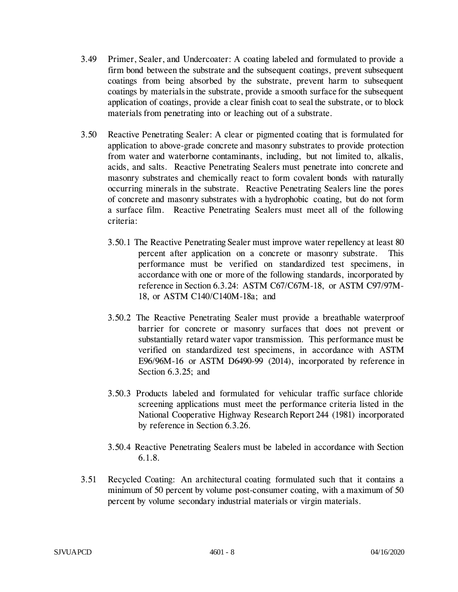- 3.49 Primer, Sealer, and Undercoater: A coating labeled and formulated to provide a firm bond between the substrate and the subsequent coatings, prevent subsequent coatings from being absorbed by the substrate, prevent harm to subsequent coatings by materials in the substrate, provide a smooth surface for the subsequent application of coatings, provide a clear finish coat to seal the substrate, or to block materials from penetrating into or leaching out of a substrate.
- 3.50 Reactive Penetrating Sealer: A clear or pigmented coating that is formulated for application to above-grade concrete and masonry substrates to provide protection from water and waterborne contaminants, including, but not limited to, alkalis, acids, and salts. Reactive Penetrating Sealers must penetrate into concrete and masonry substrates and chemically react to form covalent bonds with naturally occurring minerals in the substrate. Reactive Penetrating Sealers line the pores of concrete and masonry substrates with a hydrophobic coating, but do not form a surface film. Reactive Penetrating Sealers must meet all of the following criteria:
	- 3.50.1 The Reactive Penetrating Sealer must improve water repellency at least 80 percent after application on a concrete or masonry substrate. This performance must be verified on standardized test specimens, in accordance with one or more of the following standards, incorporated by reference in Section 6.3.24: ASTM C67/C67M-18, or ASTM C97/97M-18, or ASTM C140/C140M-18a; and
	- 3.50.2 The Reactive Penetrating Sealer must provide a breathable waterproof barrier for concrete or masonry surfaces that does not prevent or substantially retard water vapor transmission. This performance must be verified on standardized test specimens, in accordance with ASTM E96/96M-16 or ASTM D6490-99 (2014), incorporated by reference in Section 6.3.25; and
	- 3.50.3 Products labeled and formulated for vehicular traffic surface chloride screening applications must meet the performance criteria listed in the National Cooperative Highway Research Report 244 (1981) incorporated by reference in Section 6.3.26.
	- 3.50.4 Reactive Penetrating Sealers must be labeled in accordance with Section 6.1.8.
- 3.51 Recycled Coating: An architectural coating formulated such that it contains a minimum of 50 percent by volume post-consumer coating, with a maximum of 50 percent by volume secondary industrial materials or virgin materials.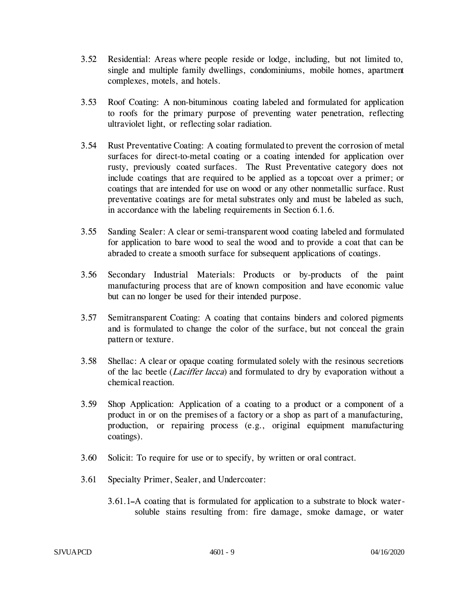- 3.52 Residential: Areas where people reside or lodge, including, but not limited to, single and multiple family dwellings, condominiums, mobile homes, apartment complexes, motels, and hotels.
- 3.53 Roof Coating: A non-bituminous coating labeled and formulated for application to roofs for the primary purpose of preventing water penetration, reflecting ultraviolet light, or reflecting solar radiation.
- 3.54 Rust Preventative Coating: A coating formulated to prevent the corrosion of metal surfaces for direct-to-metal coating or a coating intended for application over rusty, previously coated surfaces. The Rust Preventative category does not include coatings that are required to be applied as a topcoat over a primer; or coatings that are intended for use on wood or any other nonmetallic surface. Rust preventative coatings are for metal substrates only and must be labeled as such, in accordance with the labeling requirements in Section 6.1.6.
- 3.55 Sanding Sealer: A clear or semi-transparent wood coating labeled and formulated for application to bare wood to seal the wood and to provide a coat that can be abraded to create a smooth surface for subsequent applications of coatings.
- 3.56 Secondary Industrial Materials: Products or by-products of the paint manufacturing process that are of known composition and have economic value but can no longer be used for their intended purpose.
- 3.57 Semitransparent Coating: A coating that contains binders and colored pigments and is formulated to change the color of the surface, but not conceal the grain pattern or texture.
- 3.58 Shellac: A clear or opaque coating formulated solely with the resinous secretions of the lac beetle (Laciffer lacca) and formulated to dry by evaporation without a chemical reaction.
- 3.59 Shop Application: Application of a coating to a product or a component of a product in or on the premises of a factory or a shop as part of a manufacturing, production, or repairing process (e.g., original equipment manufacturing coatings).
- 3.60 Solicit: To require for use or to specify, by written or oral contract.
- 3.61 Specialty Primer, Sealer, and Undercoater:
	- 3.61.1 A coating that is formulated for application to a substrate to block watersoluble stains resulting from: fire damage, smoke damage, or water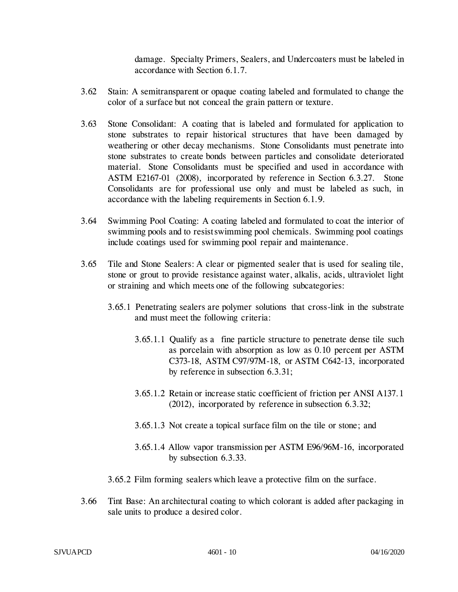damage. Specialty Primers, Sealers, and Undercoaters must be labeled in accordance with Section 6.1.7.

- 3.62 Stain: A semitransparent or opaque coating labeled and formulated to change the color of a surface but not conceal the grain pattern or texture.
- 3.63 Stone Consolidant: A coating that is labeled and formulated for application to stone substrates to repair historical structures that have been damaged by weathering or other decay mechanisms. Stone Consolidants must penetrate into stone substrates to create bonds between particles and consolidate deteriorated material. Stone Consolidants must be specified and used in accordance with ASTM E2167-01 (2008), incorporated by reference in Section 6.3.27. Stone Consolidants are for professional use only and must be labeled as such, in accordance with the labeling requirements in Section 6.1.9.
- 3.64 Swimming Pool Coating: A coating labeled and formulated to coat the interior of swimming pools and to resist swimming pool chemicals. Swimming pool coatings include coatings used for swimming pool repair and maintenance.
- 3.65 Tile and Stone Sealers: A clear or pigmented sealer that is used for sealing tile, stone or grout to provide resistance against water, alkalis, acids, ultraviolet light or straining and which meets one of the following subcategories:
	- 3.65.1 Penetrating sealers are polymer solutions that cross-link in the substrate and must meet the following criteria:
		- 3.65.1.1 Qualify as a fine particle structure to penetrate dense tile such as porcelain with absorption as low as 0.10 percent per ASTM C373-18, ASTM C97/97M-18, or ASTM C642-13, incorporated by reference in subsection 6.3.31;
		- 3.65.1.2 Retain or increase static coefficient of friction per ANSI A137.1 (2012), incorporated by reference in subsection 6.3.32;
		- 3.65.1.3 Not create a topical surface film on the tile or stone; and
		- 3.65.1.4 Allow vapor transmission per ASTM E96/96M-16, incorporated by subsection 6.3.33.
	- 3.65.2 Film forming sealers which leave a protective film on the surface.
- 3.66 Tint Base: An architectural coating to which colorant is added after packaging in sale units to produce a desired color.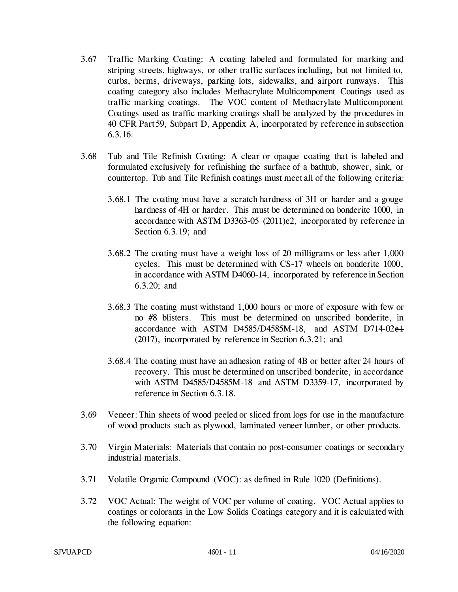- 3.67 Traffic Marking Coating: A coating labeled and formulated for marking and striping streets, highways, or other traffic surfaces including, but not limited to, curbs, berms, driveways, parking lots, sidewalks, and airport runways. This coating category also includes Methacrylate Multicomponent Coatings used as traffic marking coatings. The VOC content of Methacrylate Multicomponent Coatings used as traffic marking coatings shall be analyzed by the procedures in 40 CFR Part 59, Subpart D, Appendix A, incorporated by reference in subsection 6.3.16.
- 3.68 Tub and Tile Refinish Coating: A clear or opaque coating that is labeled and formulated exclusively for refinishing the surface of a bathtub, shower, sink, or countertop. Tub and Tile Refinish coatings must meet all of the following criteria:
	- 3.68.1 The coating must have a scratch hardness of 3H or harder and a gouge hardness of 4H or harder. This must be determined on bonderite 1000, in accordance with ASTM D3363-05 (2011)e2, incorporated by reference in Section 6.3.19; and
	- 3.68.2 The coating must have a weight loss of 20 milligrams or less after 1,000 cycles. This must be determined with CS-17 wheels on bonderite 1000, in accordance with ASTM D4060-14, incorporated by reference in Section 6.3.20; and
	- 3.68.3 The coating must withstand 1,000 hours or more of exposure with few or no #8 blisters. This must be determined on unscribed bonderite, in accordance with ASTM D4585/D4585M-18, and ASTM D714-02e1 (2017), incorporated by reference in Section 6.3.21; and
	- 3.68.4 The coating must have an adhesion rating of 4B or better after 24 hours of recovery. This must be determined on unscribed bonderite, in accordance with ASTM D4585/D4585M-18 and ASTM D3359-17, incorporated by reference in Section 6.3.18.
- 3.69 Veneer: Thin sheets of wood peeled or sliced from logs for use in the manufacture of wood products such as plywood, laminated veneer lumber, or other products.
- 3.70 Virgin Materials: Materials that contain no post-consumer coatings or secondary industrial materials.
- 3.71 Volatile Organic Compound (VOC): as defined in Rule 1020 (Definitions).
- 3.72 VOC Actual: The weight of VOC per volume of coating. VOC Actual applies to coatings or colorants in the Low Solids Coatings category and it is calculated with the following equation: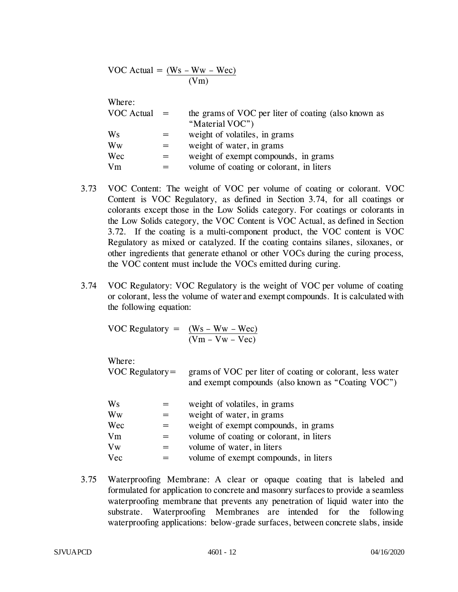VOC Actual = 
$$
\frac{(Ws - Ww - Wec)}{(Vm)}
$$

# Where:

| $VOC$ Actual $=$ | the grams of VOC per liter of coating (also known as |
|------------------|------------------------------------------------------|
|                  | "Material VOC")                                      |
| Ws               | weight of volatiles, in grams                        |
| Ww               | weight of water, in grams                            |
| Wec              | weight of exempt compounds, in grams                 |
| Vm               | volume of coating or colorant, in liters             |

- 3.73 VOC Content: The weight of VOC per volume of coating or colorant. VOC Content is VOC Regulatory, as defined in Section 3.74, for all coatings or colorants except those in the Low Solids category. For coatings or colorants in the Low Solids category, the VOC Content is VOC Actual, as defined in Section 3.72. If the coating is a multi-component product, the VOC content is VOC Regulatory as mixed or catalyzed. If the coating contains silanes, siloxanes, or other ingredients that generate ethanol or other VOCs during the curing process, the VOC content must include the VOCs emitted during curing.
- 3.74 VOC Regulatory: VOC Regulatory is the weight of VOC per volume of coating or colorant, less the volume of water and exempt compounds. It is calculated with the following equation:

VOC Regulatory =  $(Ws - Ww - Wec)$  $(Vm - Vw - Vec)$ 

Where:

VOC Regulatory = grams of VOC per liter of coating or colorant, less water and exempt compounds (also known as "Coating VOC")

| Ws  | weight of volatiles, in grams            |
|-----|------------------------------------------|
| Ww  | weight of water, in grams                |
| Wec | weight of exempt compounds, in grams     |
| Vm  | volume of coating or colorant, in liters |
| Vw  | volume of water, in liters               |
| Vec | volume of exempt compounds, in liters    |

3.75 Waterproofing Membrane: A clear or opaque coating that is labeled and formulated for application to concrete and masonry surfaces to provide a seamless waterproofing membrane that prevents any penetration of liquid water into the substrate. Waterproofing Membranes are intended for the following waterproofing applications: below-grade surfaces, between concrete slabs, inside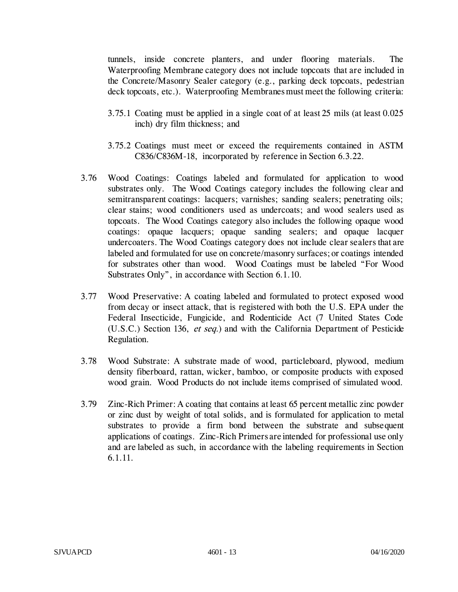tunnels, inside concrete planters, and under flooring materials. The Waterproofing Membrane category does not include topcoats that are included in the Concrete/Masonry Sealer category (e.g., parking deck topcoats, pedestrian deck topcoats, etc.). Waterproofing Membranes must meet the following criteria:

- 3.75.1 Coating must be applied in a single coat of at least 25 mils (at least 0.025 inch) dry film thickness; and
- 3.75.2 Coatings must meet or exceed the requirements contained in ASTM C836/C836M-18, incorporated by reference in Section 6.3.22.
- 3.76 Wood Coatings: Coatings labeled and formulated for application to wood substrates only. The Wood Coatings category includes the following clear and semitransparent coatings: lacquers; varnishes; sanding sealers; penetrating oils; clear stains; wood conditioners used as undercoats; and wood sealers used as topcoats. The Wood Coatings category also includes the following opaque wood coatings: opaque lacquers; opaque sanding sealers; and opaque lacquer undercoaters. The Wood Coatings category does not include clear sealers that are labeled and formulated for use on concrete/masonry surfaces; or coatings intended for substrates other than wood. Wood Coatings must be labeled "For Wood Substrates Only", in accordance with Section 6.1.10.
- 3.77 Wood Preservative: A coating labeled and formulated to protect exposed wood from decay or insect attack, that is registered with both the U.S. EPA under the Federal Insecticide, Fungicide, and Rodenticide Act (7 United States Code (U.S.C.) Section 136, et seq.) and with the California Department of Pesticide Regulation.
- 3.78 Wood Substrate: A substrate made of wood, particleboard, plywood, medium density fiberboard, rattan, wicker, bamboo, or composite products with exposed wood grain. Wood Products do not include items comprised of simulated wood.
- 3.79 Zinc-Rich Primer: A coating that contains at least 65 percent metallic zinc powder or zinc dust by weight of total solids, and is formulated for application to metal substrates to provide a firm bond between the substrate and subsequent applications of coatings. Zinc-Rich Primers are intended for professional use only and are labeled as such, in accordance with the labeling requirements in Section 6.1.11.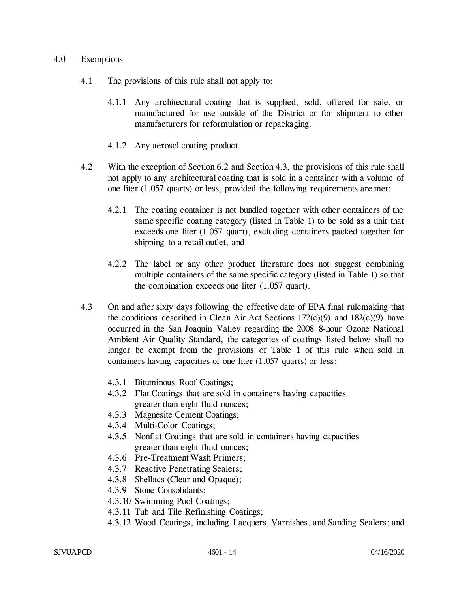#### 4.0 Exemptions

- 4.1 The provisions of this rule shall not apply to:
	- 4.1.1 Any architectural coating that is supplied, sold, offered for sale, or manufactured for use outside of the District or for shipment to other manufacturers for reformulation or repackaging.
	- 4.1.2 Any aerosol coating product.
- 4.2 With the exception of Section 6.2 and Section 4.3, the provisions of this rule shall not apply to any architectural coating that is sold in a container with a volume of one liter (1.057 quarts) or less, provided the following requirements are met:
	- 4.2.1 The coating container is not bundled together with other containers of the same specific coating category (listed in Table 1) to be sold as a unit that exceeds one liter (1.057 quart), excluding containers packed together for shipping to a retail outlet, and
	- 4.2.2 The label or any other product literature does not suggest combining multiple containers of the same specific category (listed in Table 1) so that the combination exceeds one liter (1.057 quart).
- 4.3 On and after sixty days following the effective date of EPA final rulemaking that the conditions described in Clean Air Act Sections  $172(c)(9)$  and  $182(c)(9)$  have occurred in the San Joaquin Valley regarding the 2008 8-hour Ozone National Ambient Air Quality Standard, the categories of coatings listed below shall no longer be exempt from the provisions of Table 1 of this rule when sold in containers having capacities of one liter (1.057 quarts) or less:
	- 4.3.1 Bituminous Roof Coatings;
	- 4.3.2 Flat Coatings that are sold in containers having capacities greater than eight fluid ounces;
	- 4.3.3 Magnesite Cement Coatings;
	- 4.3.4 Multi-Color Coatings;
	- 4.3.5 Nonflat Coatings that are sold in containers having capacities greater than eight fluid ounces;
	- 4.3.6 Pre-Treatment Wash Primers;
	- 4.3.7 Reactive Penetrating Sealers;
	- 4.3.8 Shellacs (Clear and Opaque);
	- 4.3.9 Stone Consolidants;
	- 4.3.10 Swimming Pool Coatings;
	- 4.3.11 Tub and Tile Refinishing Coatings;
	- 4.3.12 Wood Coatings, including Lacquers, Varnishes, and Sanding Sealers; and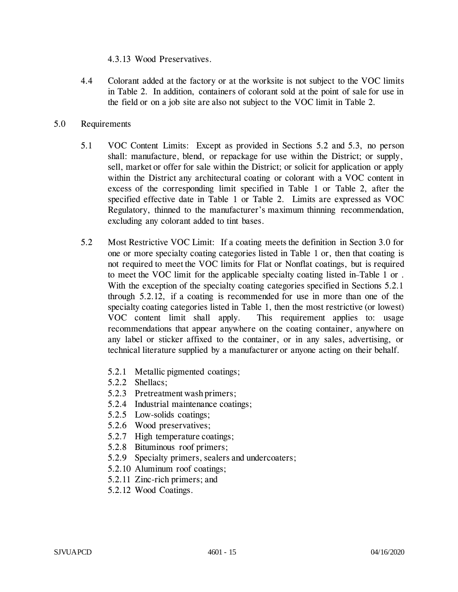4.3.13 Wood Preservatives.

- 4.4 Colorant added at the factory or at the worksite is not subject to the VOC limits in Table 2. In addition, containers of colorant sold at the point of sale for use in the field or on a job site are also not subject to the VOC limit in Table 2.
- 5.0 Requirements
	- 5.1 VOC Content Limits: Except as provided in Sections 5.2 and 5.3, no person shall: manufacture, blend, or repackage for use within the District; or supply, sell, market or offer for sale within the District; or solicit for application or apply within the District any architectural coating or colorant with a VOC content in excess of the corresponding limit specified in Table 1 or Table 2, after the specified effective date in Table 1 or Table 2. Limits are expressed as VOC Regulatory, thinned to the manufacturer's maximum thinning recommendation, excluding any colorant added to tint bases.
	- 5.2 Most Restrictive VOC Limit: If a coating meets the definition in Section 3.0 for one or more specialty coating categories listed in Table 1 or, then that coating is not required to meet the VOC limits for Flat or Nonflat coatings, but is required to meet the VOC limit for the applicable specialty coating listed in Table 1 or . With the exception of the specialty coating categories specified in Sections 5.2.1 through 5.2.12, if a coating is recommended for use in more than one of the specialty coating categories listed in Table 1, then the most restrictive (or lowest) VOC content limit shall apply. This requirement applies to: usage recommendations that appear anywhere on the coating container, anywhere on any label or sticker affixed to the container, or in any sales, advertising, or technical literature supplied by a manufacturer or anyone acting on their behalf.
		- 5.2.1 Metallic pigmented coatings;
		- 5.2.2 Shellacs;
		- 5.2.3 Pretreatment wash primers;
		- 5.2.4 Industrial maintenance coatings;
		- 5.2.5 Low-solids coatings;
		- 5.2.6 Wood preservatives;
		- 5.2.7 High temperature coatings;
		- 5.2.8 Bituminous roof primers;
		- 5.2.9 Specialty primers, sealers and undercoaters;
		- 5.2.10 Aluminum roof coatings;
		- 5.2.11 Zinc-rich primers; and
		- 5.2.12 Wood Coatings.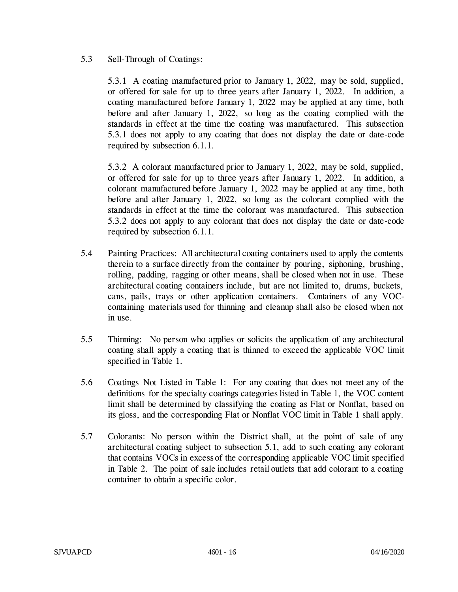## 5.3 Sell-Through of Coatings:

5.3.1 A coating manufactured prior to January 1, 2022, may be sold, supplied, or offered for sale for up to three years after January 1, 2022. In addition, a coating manufactured before January 1, 2022 may be applied at any time, both before and after January 1, 2022, so long as the coating complied with the standards in effect at the time the coating was manufactured. This subsection 5.3.1 does not apply to any coating that does not display the date or date-code required by subsection 6.1.1.

5.3.2 A colorant manufactured prior to January 1, 2022, may be sold, supplied, or offered for sale for up to three years after January 1, 2022. In addition, a colorant manufactured before January 1, 2022 may be applied at any time, both before and after January 1, 2022, so long as the colorant complied with the standards in effect at the time the colorant was manufactured. This subsection 5.3.2 does not apply to any colorant that does not display the date or date-code required by subsection 6.1.1.

- 5.4 Painting Practices: All architectural coating containers used to apply the contents therein to a surface directly from the container by pouring, siphoning, brushing, rolling, padding, ragging or other means, shall be closed when not in use. These architectural coating containers include, but are not limited to, drums, buckets, cans, pails, trays or other application containers. Containers of any VOCcontaining materials used for thinning and cleanup shall also be closed when not in use.
- 5.5 Thinning: No person who applies or solicits the application of any architectural coating shall apply a coating that is thinned to exceed the applicable VOC limit specified in Table 1.
- 5.6 Coatings Not Listed in Table 1: For any coating that does not meet any of the definitions for the specialty coatings categories listed in Table 1, the VOC content limit shall be determined by classifying the coating as Flat or Nonflat, based on its gloss, and the corresponding Flat or Nonflat VOC limit in Table 1 shall apply.
- 5.7 Colorants: No person within the District shall, at the point of sale of any architectural coating subject to subsection 5.1, add to such coating any colorant that contains VOCs in excess of the corresponding applicable VOC limit specified in Table 2. The point of sale includes retail outlets that add colorant to a coating container to obtain a specific color.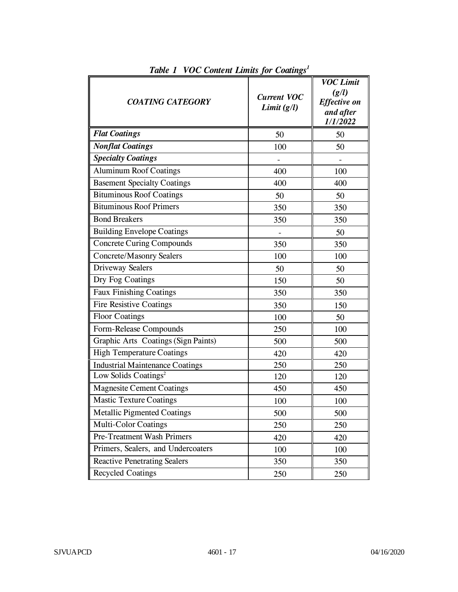| <b>COATING CATEGORY</b>                | <b>Current VOC</b><br>Limit $(g/l)$ | <b>VOC Limit</b><br>(g/l)<br><b>Effective on</b><br>and after<br>1/1/2022 |
|----------------------------------------|-------------------------------------|---------------------------------------------------------------------------|
| <b>Flat Coatings</b>                   | 50                                  | 50                                                                        |
| <b>Nonflat Coatings</b>                | 100                                 | 50                                                                        |
| <b>Specialty Coatings</b>              |                                     |                                                                           |
| <b>Aluminum Roof Coatings</b>          | 400                                 | 100                                                                       |
| <b>Basement Specialty Coatings</b>     | 400                                 | 400                                                                       |
| <b>Bituminous Roof Coatings</b>        | 50                                  | 50                                                                        |
| <b>Bituminous Roof Primers</b>         | 350                                 | 350                                                                       |
| <b>Bond Breakers</b>                   | 350                                 | 350                                                                       |
| <b>Building Envelope Coatings</b>      |                                     | 50                                                                        |
| <b>Concrete Curing Compounds</b>       | 350                                 | 350                                                                       |
| <b>Concrete/Masonry Sealers</b>        | 100                                 | 100                                                                       |
| Driveway Sealers                       | 50                                  | 50                                                                        |
| Dry Fog Coatings                       | 150                                 | 50                                                                        |
| <b>Faux Finishing Coatings</b>         | 350                                 | 350                                                                       |
| <b>Fire Resistive Coatings</b>         | 350                                 | 150                                                                       |
| <b>Floor Coatings</b>                  | 100                                 | 50                                                                        |
| Form-Release Compounds                 | 250                                 | 100                                                                       |
| Graphic Arts Coatings (Sign Paints)    | 500                                 | 500                                                                       |
| <b>High Temperature Coatings</b>       | 420                                 | 420                                                                       |
| <b>Industrial Maintenance Coatings</b> | 250                                 | 250                                                                       |
| Low Solids Coatings <sup>2</sup>       | 120                                 | 120                                                                       |
| <b>Magnesite Cement Coatings</b>       | 450                                 | 450                                                                       |
| <b>Mastic Texture Coatings</b>         | 100                                 | 100                                                                       |
| <b>Metallic Pigmented Coatings</b>     | 500                                 | 500                                                                       |
| <b>Multi-Color Coatings</b>            | 250                                 | 250                                                                       |
| Pre-Treatment Wash Primers             | 420                                 | 420                                                                       |
| Primers, Sealers, and Undercoaters     | 100                                 | 100                                                                       |
| <b>Reactive Penetrating Sealers</b>    | 350                                 | 350                                                                       |
| <b>Recycled Coatings</b>               | 250                                 | 250                                                                       |

*Table 1 VOC Content Limits for Coatings<sup>1</sup>*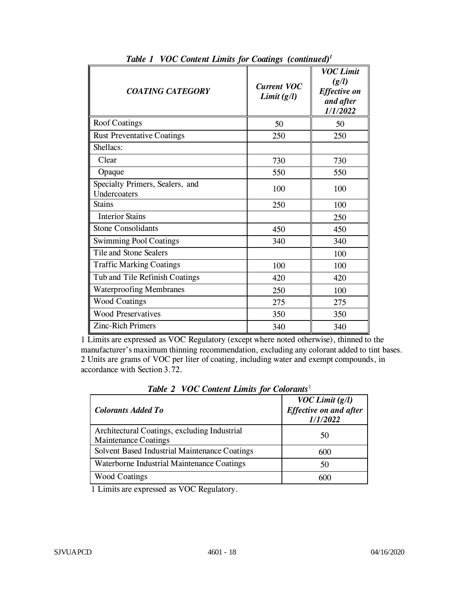| <b>COATING CATEGORY</b>                         | <b>Current VOC</b><br>Limit(g/l) | <b>VOC Limit</b><br>(g/l)<br><b>Effective on</b><br>and after<br>1/1/2022 |
|-------------------------------------------------|----------------------------------|---------------------------------------------------------------------------|
| <b>Roof Coatings</b>                            | 50                               | 50                                                                        |
| <b>Rust Preventative Coatings</b>               | 250                              | 250                                                                       |
| Shellacs:                                       |                                  |                                                                           |
| Clear                                           | 730                              | 730                                                                       |
| Opaque                                          | 550                              | 550                                                                       |
| Specialty Primers, Sealers, and<br>Undercoaters | 100                              | 100                                                                       |
| <b>Stains</b>                                   | 250                              | 100                                                                       |
| <b>Interior Stains</b>                          |                                  | 250                                                                       |
| <b>Stone Consolidants</b>                       | 450                              | 450                                                                       |
| <b>Swimming Pool Coatings</b>                   | 340                              | 340                                                                       |
| Tile and Stone Sealers                          |                                  | 100                                                                       |
| <b>Traffic Marking Coatings</b>                 | 100                              | 100                                                                       |
| Tub and Tile Refinish Coatings                  | 420                              | 420                                                                       |
| <b>Waterproofing Membranes</b>                  | 250                              | 100                                                                       |
| <b>Wood Coatings</b>                            | 275                              | 275                                                                       |
| <b>Wood Preservatives</b>                       | 350                              | 350                                                                       |
| <b>Zinc-Rich Primers</b>                        | 340                              | 340                                                                       |

*Table 1 VOC Content Limits for Coatings (continued)<sup>1</sup>*

1 Limits are expressed as VOC Regulatory (except where noted otherwise), thinned to the manufacturer's maximum thinning recommendation, excluding any colorant added to tint bases. 2 Units are grams of VOC per liter of coating, including water and exempt compounds, in accordance with Section 3.72.

| <b>Colorants Added To</b>                                                   | $VOC$ Limit $(g/l)$<br><b>Effective on and after</b><br>1/1/2022 |
|-----------------------------------------------------------------------------|------------------------------------------------------------------|
| Architectural Coatings, excluding Industrial<br><b>Maintenance Coatings</b> | 50                                                               |
| Solvent Based Industrial Maintenance Coatings                               | 600                                                              |
| Waterborne Industrial Maintenance Coatings                                  | 50                                                               |
| <b>Wood Coatings</b>                                                        | 600                                                              |

*Table 2 VOC Content Limits for Colorants*<sup>1</sup>

1 Limits are expressed as VOC Regulatory.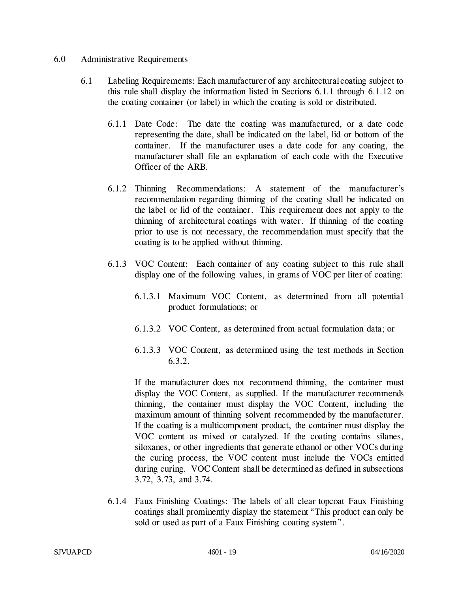#### 6.0 Administrative Requirements

- 6.1 Labeling Requirements: Each manufacturer of any architectural coating subject to this rule shall display the information listed in Sections 6.1.1 through 6.1.12 on the coating container (or label) in which the coating is sold or distributed.
	- 6.1.1 Date Code: The date the coating was manufactured, or a date code representing the date, shall be indicated on the label, lid or bottom of the container. If the manufacturer uses a date code for any coating, the manufacturer shall file an explanation of each code with the Executive Officer of the ARB.
	- 6.1.2 Thinning Recommendations: A statement of the manufacturer's recommendation regarding thinning of the coating shall be indicated on the label or lid of the container. This requirement does not apply to the thinning of architectural coatings with water. If thinning of the coating prior to use is not necessary, the recommendation must specify that the coating is to be applied without thinning.
	- 6.1.3 VOC Content: Each container of any coating subject to this rule shall display one of the following values, in grams of VOC per liter of coating:
		- 6.1.3.1 Maximum VOC Content, as determined from all potential product formulations; or
		- 6.1.3.2 VOC Content, as determined from actual formulation data; or
		- 6.1.3.3 VOC Content, as determined using the test methods in Section 6.3.2.

If the manufacturer does not recommend thinning, the container must display the VOC Content, as supplied. If the manufacturer recommends thinning, the container must display the VOC Content, including the maximum amount of thinning solvent recommended by the manufacturer. If the coating is a multicomponent product, the container must display the VOC content as mixed or catalyzed. If the coating contains silanes, siloxanes, or other ingredients that generate ethanol or other VOCs during the curing process, the VOC content must include the VOCs emitted during curing. VOC Content shall be determined as defined in subsections 3.72, 3.73, and 3.74.

6.1.4 Faux Finishing Coatings: The labels of all clear topcoat Faux Finishing coatings shall prominently display the statement "This product can only be sold or used as part of a Faux Finishing coating system".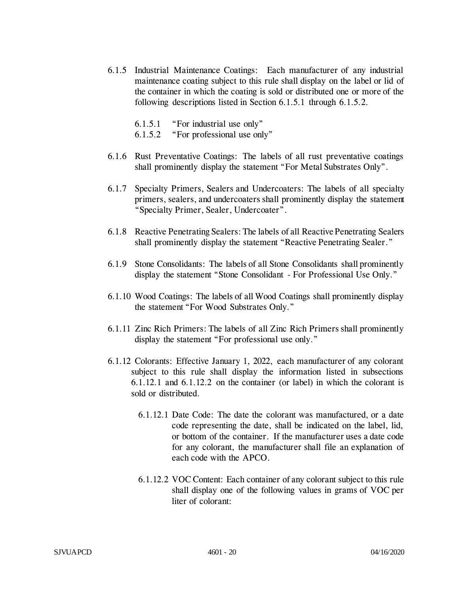- 6.1.5 Industrial Maintenance Coatings: Each manufacturer of any industrial maintenance coating subject to this rule shall display on the label or lid of the container in which the coating is sold or distributed one or more of the following descriptions listed in Section 6.1.5.1 through 6.1.5.2.
	- 6.1.5.1 "For industrial use only"
	- 6.1.5.2 "For professional use only"
- 6.1.6 Rust Preventative Coatings: The labels of all rust preventative coatings shall prominently display the statement "For Metal Substrates Only".
- 6.1.7 Specialty Primers, Sealers and Undercoaters: The labels of all specialty primers, sealers, and undercoaters shall prominently display the statement "Specialty Primer, Sealer, Undercoater".
- 6.1.8 Reactive Penetrating Sealers: The labels of all Reactive Penetrating Sealers shall prominently display the statement "Reactive Penetrating Sealer."
- 6.1.9 Stone Consolidants: The labels of all Stone Consolidants shall prominently display the statement "Stone Consolidant - For Professional Use Only."
- 6.1.10 Wood Coatings: The labels of all Wood Coatings shall prominently display the statement "For Wood Substrates Only."
- 6.1.11 Zinc Rich Primers: The labels of all Zinc Rich Primers shall prominently display the statement "For professional use only."
- 6.1.12 Colorants: Effective January 1, 2022, each manufacturer of any colorant subject to this rule shall display the information listed in subsections 6.1.12.1 and 6.1.12.2 on the container (or label) in which the colorant is sold or distributed.
	- 6.1.12.1 Date Code: The date the colorant was manufactured, or a date code representing the date, shall be indicated on the label, lid, or bottom of the container. If the manufacturer uses a date code for any colorant, the manufacturer shall file an explanation of each code with the APCO.
	- 6.1.12.2 VOC Content: Each container of any colorant subject to this rule shall display one of the following values in grams of VOC per liter of colorant: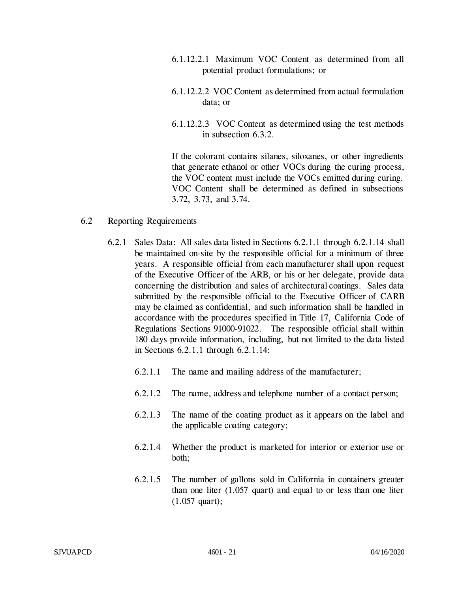- 6.1.12.2.1 Maximum VOC Content as determined from all potential product formulations; or
- 6.1.12.2.2 VOC Content as determined from actual formulation data; or
- 6.1.12.2.3 VOC Content as determined using the test methods in subsection 6.3.2.

If the colorant contains silanes, siloxanes, or other ingredients that generate ethanol or other VOCs during the curing process, the VOC content must include the VOCs emitted during curing. VOC Content shall be determined as defined in subsections 3.72, 3.73, and 3.74.

### 6.2 Reporting Requirements

- 6.2.1 Sales Data: All sales data listed in Sections 6.2.1.1 through 6.2.1.14 shall be maintained on-site by the responsible official for a minimum of three years. A responsible official from each manufacturer shall upon request of the Executive Officer of the ARB, or his or her delegate, provide data concerning the distribution and sales of architectural coatings. Sales data submitted by the responsible official to the Executive Officer of CARB may be claimed as confidential, and such information shall be handled in accordance with the procedures specified in Title 17, California Code of Regulations Sections 91000-91022. The responsible official shall within 180 days provide information, including, but not limited to the data listed in Sections 6.2.1.1 through 6.2.1.14:
	- 6.2.1.1 The name and mailing address of the manufacturer;
	- 6.2.1.2 The name, address and telephone number of a contact person;
	- 6.2.1.3 The name of the coating product as it appears on the label and the applicable coating category;
	- 6.2.1.4 Whether the product is marketed for interior or exterior use or both;
	- 6.2.1.5 The number of gallons sold in California in containers greater than one liter (1.057 quart) and equal to or less than one liter (1.057 quart);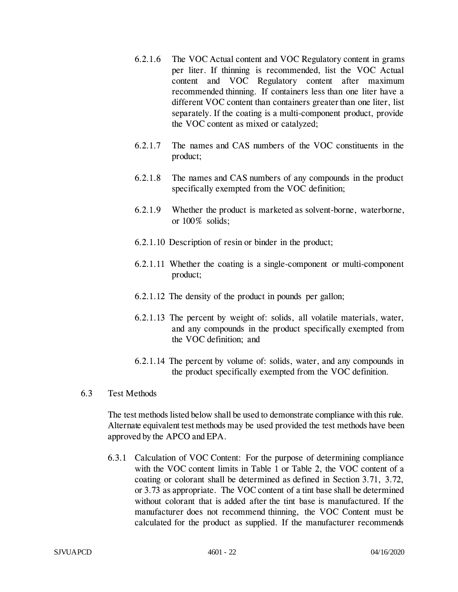- 6.2.1.6 The VOC Actual content and VOC Regulatory content in grams per liter. If thinning is recommended, list the VOC Actual content and VOC Regulatory content after maximum recommended thinning. If containers less than one liter have a different VOC content than containers greater than one liter, list separately. If the coating is a multi-component product, provide the VOC content as mixed or catalyzed;
- 6.2.1.7 The names and CAS numbers of the VOC constituents in the product;
- 6.2.1.8 The names and CAS numbers of any compounds in the product specifically exempted from the VOC definition;
- 6.2.1.9 Whether the product is marketed as solvent-borne, waterborne, or 100% solids;
- 6.2.1.10 Description of resin or binder in the product;
- 6.2.1.11 Whether the coating is a single-component or multi-component product;
- 6.2.1.12 The density of the product in pounds per gallon;
- 6.2.1.13 The percent by weight of: solids, all volatile materials, water, and any compounds in the product specifically exempted from the VOC definition; and
- 6.2.1.14 The percent by volume of: solids, water, and any compounds in the product specifically exempted from the VOC definition.
- 6.3 Test Methods

The test methods listed below shall be used to demonstrate compliance with this rule. Alternate equivalent test methods may be used provided the test methods have been approved by the APCO and EPA.

6.3.1 Calculation of VOC Content: For the purpose of determining compliance with the VOC content limits in Table 1 or Table 2, the VOC content of a coating or colorant shall be determined as defined in Section 3.71, 3.72, or 3.73 as appropriate. The VOC content of a tint base shall be determined without colorant that is added after the tint base is manufactured. If the manufacturer does not recommend thinning, the VOC Content must be calculated for the product as supplied. If the manufacturer recommends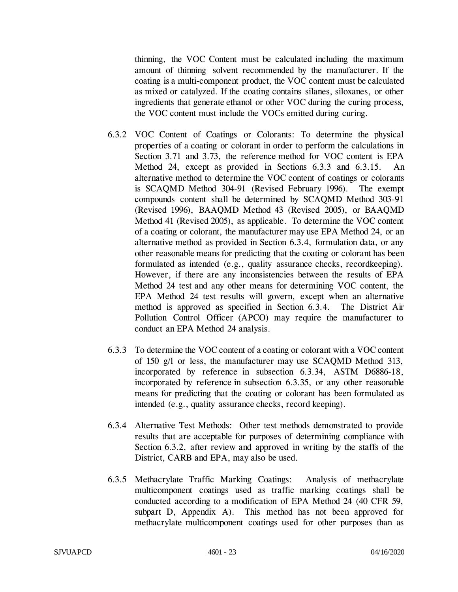thinning, the VOC Content must be calculated including the maximum amount of thinning solvent recommended by the manufacturer. If the coating is a multi-component product, the VOC content must be calculated as mixed or catalyzed. If the coating contains silanes, siloxanes, or other ingredients that generate ethanol or other VOC during the curing process, the VOC content must include the VOCs emitted during curing.

- 6.3.2 VOC Content of Coatings or Colorants: To determine the physical properties of a coating or colorant in order to perform the calculations in Section 3.71 and 3.73, the reference method for VOC content is EPA Method 24, except as provided in Sections 6.3.3 and 6.3.15. An alternative method to determine the VOC content of coatings or colorants is SCAQMD Method 304-91 (Revised February 1996). The exempt compounds content shall be determined by SCAQMD Method 303-91 (Revised 1996), BAAQMD Method 43 (Revised 2005), or BAAQMD Method 41 (Revised 2005), as applicable. To determine the VOC content of a coating or colorant, the manufacturer may use EPA Method 24, or an alternative method as provided in Section 6.3.4, formulation data, or any other reasonable means for predicting that the coating or colorant has been formulated as intended (e.g., quality assurance checks, recordkeeping). However, if there are any inconsistencies between the results of EPA Method 24 test and any other means for determining VOC content, the EPA Method 24 test results will govern, except when an alternative method is approved as specified in Section 6.3.4. The District Air Pollution Control Officer (APCO) may require the manufacturer to conduct an EPA Method 24 analysis.
- 6.3.3 To determine the VOC content of a coating or colorant with a VOC content of 150 g/l or less, the manufacturer may use SCAQMD Method 313, incorporated by reference in subsection 6.3.34, ASTM D6886-18, incorporated by reference in subsection 6.3.35, or any other reasonable means for predicting that the coating or colorant has been formulated as intended (e.g., quality assurance checks, record keeping).
- 6.3.4 Alternative Test Methods: Other test methods demonstrated to provide results that are acceptable for purposes of determining compliance with Section 6.3.2, after review and approved in writing by the staffs of the District, CARB and EPA, may also be used.
- 6.3.5 Methacrylate Traffic Marking Coatings: Analysis of methacrylate multicomponent coatings used as traffic marking coatings shall be conducted according to a modification of EPA Method 24 (40 CFR 59, subpart D, Appendix A). This method has not been approved for methacrylate multicomponent coatings used for other purposes than as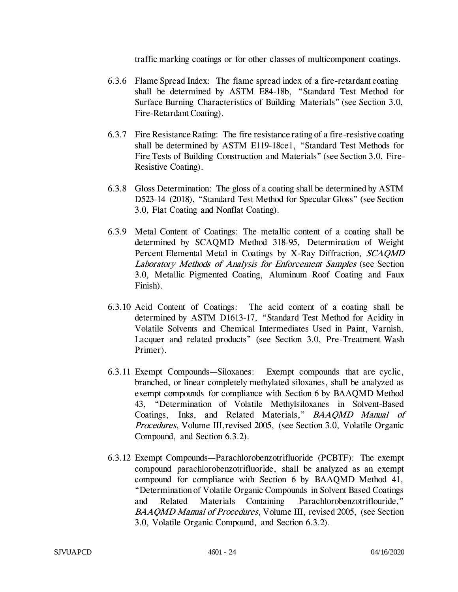traffic marking coatings or for other classes of multicomponent coatings.

- 6.3.6 Flame Spread Index: The flame spread index of a fire-retardant coating shall be determined by ASTM E84-18b, "Standard Test Method for Surface Burning Characteristics of Building Materials" (see Section 3.0, Fire-Retardant Coating).
- 6.3.7 Fire Resistance Rating: The fire resistance rating of a fire-resistive coating shall be determined by ASTM E119-18ce1, "Standard Test Methods for Fire Tests of Building Construction and Materials" (see Section 3.0, Fire-Resistive Coating).
- 6.3.8 Gloss Determination: The gloss of a coating shall be determined by ASTM D523-14 (2018), "Standard Test Method for Specular Gloss" (see Section 3.0, Flat Coating and Nonflat Coating).
- 6.3.9 Metal Content of Coatings: The metallic content of a coating shall be determined by SCAQMD Method 318-95, Determination of Weight Percent Elemental Metal in Coatings by X-Ray Diffraction, SCAQMD Laboratory Methods of Analysis for Enforcement Samples (see Section 3.0, Metallic Pigmented Coating, Aluminum Roof Coating and Faux Finish).
- 6.3.10 Acid Content of Coatings: The acid content of a coating shall be determined by ASTM D1613-17, "Standard Test Method for Acidity in Volatile Solvents and Chemical Intermediates Used in Paint, Varnish, Lacquer and related products" (see Section 3.0, Pre-Treatment Wash Primer).
- 6.3.11 Exempt Compounds—Siloxanes: Exempt compounds that are cyclic, branched, or linear completely methylated siloxanes, shall be analyzed as exempt compounds for compliance with Section 6 by BAAQMD Method 43, "Determination of Volatile Methylsiloxanes in Solvent-Based Coatings, Inks, and Related Materials," BAAQMD Manual of Procedures, Volume III,revised 2005, (see Section 3.0, Volatile Organic Compound, and Section 6.3.2).
- 6.3.12 Exempt Compounds—Parachlorobenzotrifluoride (PCBTF): The exempt compound parachlorobenzotrifluoride, shall be analyzed as an exempt compound for compliance with Section 6 by BAAQMD Method 41, "Determination of Volatile Organic Compounds in Solvent Based Coatings and Related Materials Containing Parachlorobenzotriflouride," BAAQMD Manual of Procedures, Volume III, revised 2005, (see Section 3.0, Volatile Organic Compound, and Section 6.3.2).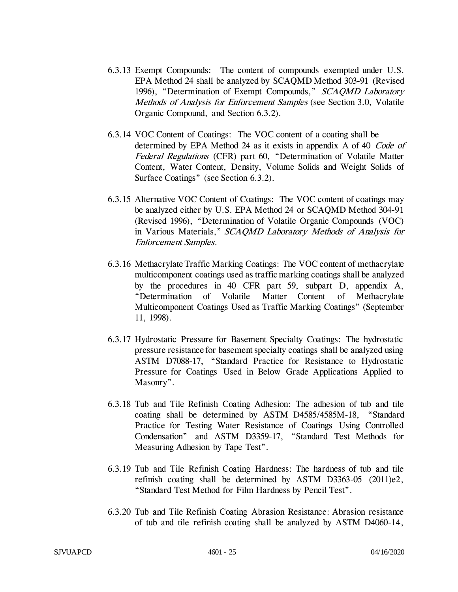- 6.3.13 Exempt Compounds: The content of compounds exempted under U.S. EPA Method 24 shall be analyzed by SCAQMD Method 303-91 (Revised 1996), "Determination of Exempt Compounds," SCAQMD Laboratory Methods of Analysis for Enforcement Samples (see Section 3.0, Volatile Organic Compound, and Section 6.3.2).
- 6.3.14 VOC Content of Coatings: The VOC content of a coating shall be determined by EPA Method 24 as it exists in appendix A of 40 Code of Federal Regulations (CFR) part 60, "Determination of Volatile Matter Content, Water Content, Density, Volume Solids and Weight Solids of Surface Coatings" (see Section 6.3.2).
- 6.3.15 Alternative VOC Content of Coatings: The VOC content of coatings may be analyzed either by U.S. EPA Method 24 or SCAQMD Method 304-91 (Revised 1996), "Determination of Volatile Organic Compounds (VOC) in Various Materials," SCAQMD Laboratory Methods of Analysis for Enforcement Samples.
- 6.3.16 Methacrylate Traffic Marking Coatings: The VOC content of methacrylate multicomponent coatings used as traffic marking coatings shall be analyzed by the procedures in 40 CFR part 59, subpart D, appendix A, "Determination of Volatile Matter Content of Methacrylate Multicomponent Coatings Used as Traffic Marking Coatings" (September 11, 1998).
- 6.3.17 Hydrostatic Pressure for Basement Specialty Coatings: The hydrostatic pressure resistance for basement specialty coatings shall be analyzed using ASTM D7088-17, "Standard Practice for Resistance to Hydrostatic Pressure for Coatings Used in Below Grade Applications Applied to Masonry".
- 6.3.18 Tub and Tile Refinish Coating Adhesion: The adhesion of tub and tile coating shall be determined by ASTM D4585/4585M-18, "Standard Practice for Testing Water Resistance of Coatings Using Controlled Condensation" and ASTM D3359-17, "Standard Test Methods for Measuring Adhesion by Tape Test".
- 6.3.19 Tub and Tile Refinish Coating Hardness: The hardness of tub and tile refinish coating shall be determined by ASTM D3363-05 (2011)e2, "Standard Test Method for Film Hardness by Pencil Test".
- 6.3.20 Tub and Tile Refinish Coating Abrasion Resistance: Abrasion resistance of tub and tile refinish coating shall be analyzed by ASTM D4060-14,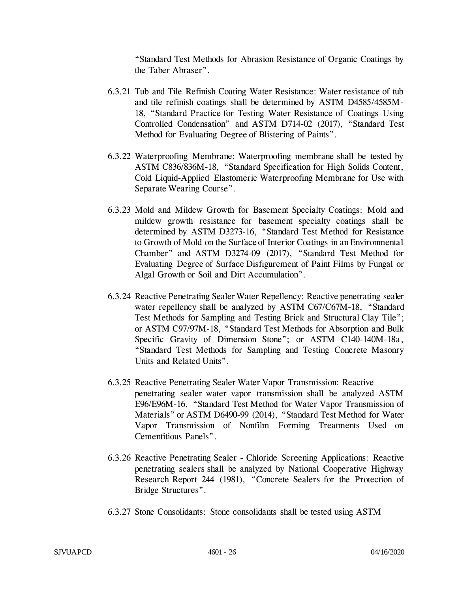"Standard Test Methods for Abrasion Resistance of Organic Coatings by the Taber Abraser".

- 6.3.21 Tub and Tile Refinish Coating Water Resistance: Water resistance of tub and tile refinish coatings shall be determined by ASTM D4585/4585M-18, "Standard Practice for Testing Water Resistance of Coatings Using Controlled Condensation" and ASTM D714-02 (2017), "Standard Test Method for Evaluating Degree of Blistering of Paints".
- 6.3.22 Waterproofing Membrane: Waterproofing membrane shall be tested by ASTM C836/836M-18, "Standard Specification for High Solids Content, Cold Liquid-Applied Elastomeric Waterproofing Membrane for Use with Separate Wearing Course".
- 6.3.23 Mold and Mildew Growth for Basement Specialty Coatings: Mold and mildew growth resistance for basement specialty coatings shall be determined by ASTM D3273-16, "Standard Test Method for Resistance to Growth of Mold on the Surface of Interior Coatings in an Environmental Chamber" and ASTM D3274-09 (2017), "Standard Test Method for Evaluating Degree of Surface Disfigurement of Paint Films by Fungal or Algal Growth or Soil and Dirt Accumulation".
- 6.3.24 Reactive Penetrating Sealer Water Repellency: Reactive penetrating sealer water repellency shall be analyzed by ASTM C67/C67M-18, "Standard Test Methods for Sampling and Testing Brick and Structural Clay Tile"; or ASTM C97/97M-18, "Standard Test Methods for Absorption and Bulk Specific Gravity of Dimension Stone"; or ASTM C140-140M-18a, "Standard Test Methods for Sampling and Testing Concrete Masonry Units and Related Units".
- 6.3.25 Reactive Penetrating Sealer Water Vapor Transmission: Reactive penetrating sealer water vapor transmission shall be analyzed ASTM E96/E96M-16, "Standard Test Method for Water Vapor Transmission of Materials" or ASTM D6490-99 (2014), "Standard Test Method for Water Vapor Transmission of Nonfilm Forming Treatments Used on Cementitious Panels".
- 6.3.26 Reactive Penetrating Sealer Chloride Screening Applications: Reactive penetrating sealers shall be analyzed by National Cooperative Highway Research Report 244 (1981), "Concrete Sealers for the Protection of Bridge Structures".
- 6.3.27 Stone Consolidants: Stone consolidants shall be tested using ASTM